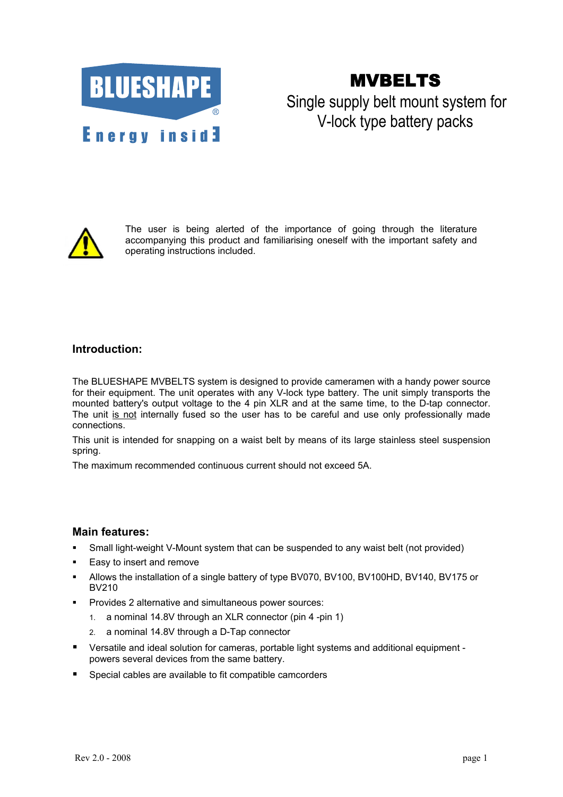

# MVBELTS

## Single supply belt mount system for V-lock type battery packs



The user is being alerted of the importance of going through the literature accompanying this product and familiarising oneself with the important safety and operating instructions included.

## **Introduction:**

The BLUESHAPE MVBELTS system is designed to provide cameramen with a handy power source for their equipment. The unit operates with any V-lock type battery. The unit simply transports the mounted battery's output voltage to the 4 pin XLR and at the same time, to the D-tap connector. The unit is not internally fused so the user has to be careful and use only professionally made connections.

This unit is intended for snapping on a waist belt by means of its large stainless steel suspension spring.

The maximum recommended continuous current should not exceed 5A.

### **Main features:**

- Small light-weight V-Mount system that can be suspended to any waist belt (not provided)
- Easy to insert and remove
- Allows the installation of a single battery of type BV070, BV100, BV100HD, BV140, BV175 or BV210
- Provides 2 alternative and simultaneous power sources:
	- 1. a nominal 14.8V through an XLR connector (pin 4 -pin 1)
	- 2. a nominal 14.8V through a D-Tap connector
- Versatile and ideal solution for cameras, portable light systems and additional equipment powers several devices from the same battery.
- Special cables are available to fit compatible camcorders